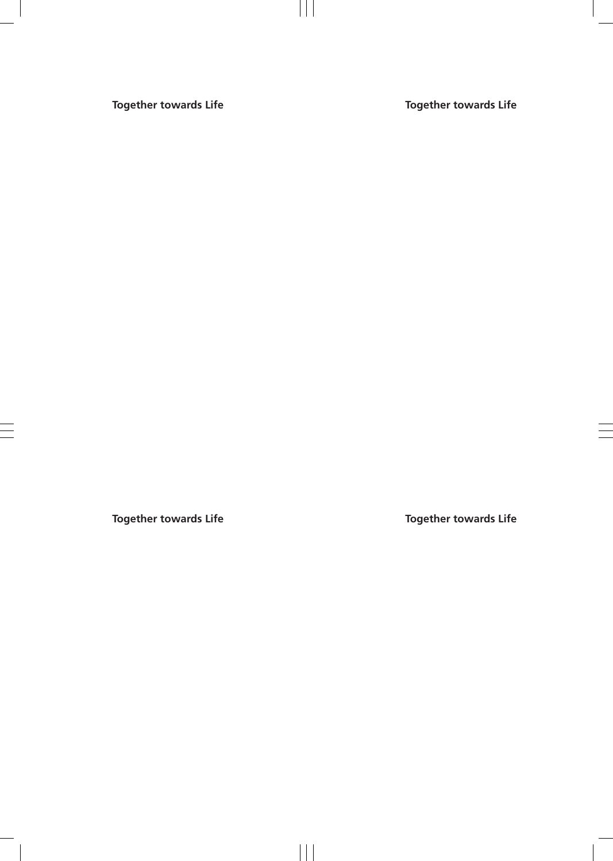**Together towards Life Together towards Life Together towards Life Together towards Life**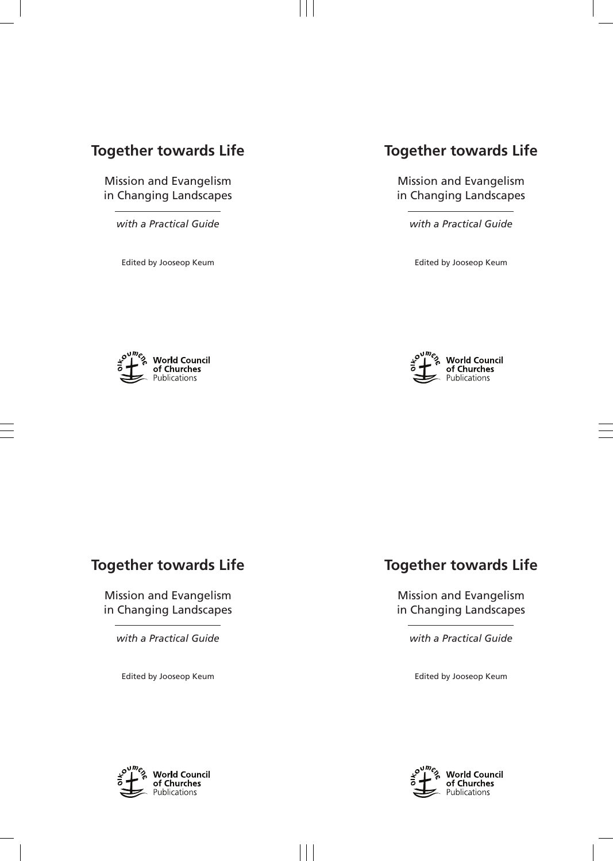# **Together towards Life**

Mission and Evangelism in Changing Landscapes

*with a Practical Guide*

Edited by Jooseop Keum

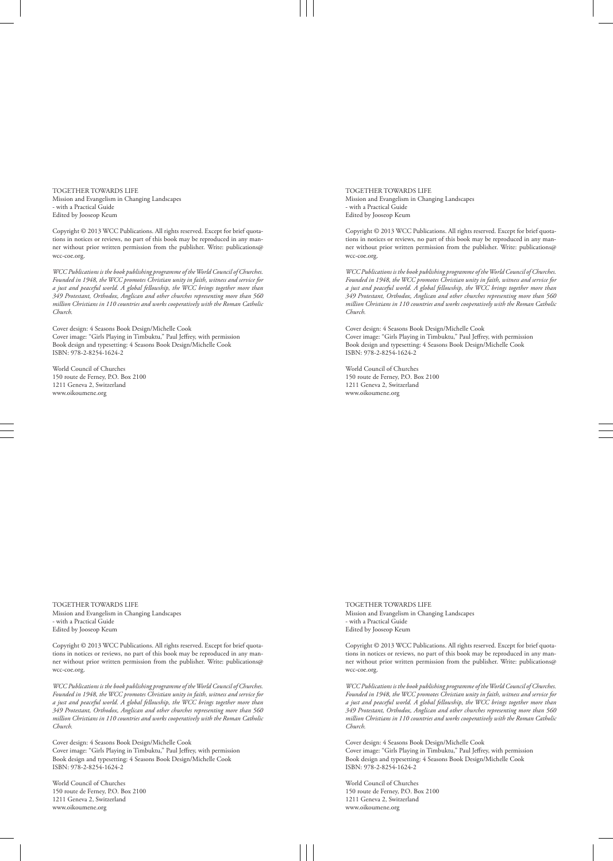TOGETHER TOWARDS LIFE Mission and Evangelism in Changing Landscapes - with a Practical Guide Edited by Jooseop Keum

Copyright © 2013 WCC Publications. All rights reserved. Except for brief quotations in notices or reviews, no part of this book may be reproduced in any manner without prior written permission from the publisher. Write: publications@ wcc-coe.org.

*WCC Publications is the book publishing programme of the World Council of Churches. Founded in 1948, the WCC promotes Christian unity in faith, witness and service for a just and peaceful world. A global fellowship, the WCC brings together more than 349 Protestant, Orthodox, Anglican and other churches representing more than 560 million Christians in 110 countries and works cooperatively with the Roman Catholic Church.*

Cover design: 4 Seasons Book Design/Michelle Cook Cover image: "Girls Playing in Timbuktu," Paul Jeffrey, with permission Book design and typesetting: 4 Seasons Book Design/Michelle Cook ISBN: 978-2-8254-1624-2

World Council of Churches 150 route de Ferney, P.O. Box 2100 1211 Geneva 2, Switzerland www.oikoumene.org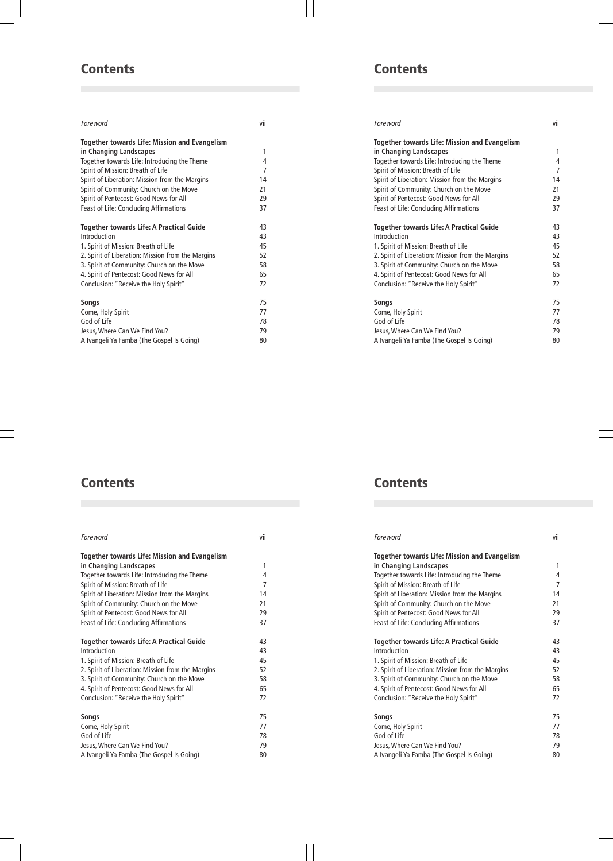# **Contents**

| Foreword                                             | vii            |
|------------------------------------------------------|----------------|
| <b>Together towards Life: Mission and Evangelism</b> |                |
| in Changing Landscapes                               | 1              |
| Together towards Life: Introducing the Theme         | 4              |
| Spirit of Mission: Breath of Life                    | $\overline{7}$ |
| Spirit of Liberation: Mission from the Margins       | 14             |
| Spirit of Community: Church on the Move              | 21             |
| Spirit of Pentecost: Good News for All               | 29             |
| Feast of Life: Concluding Affirmations               | 37             |
| <b>Together towards Life: A Practical Guide</b>      | 43             |
| Introduction                                         | 43             |
| 1. Spirit of Mission: Breath of Life                 | 45             |
| 2. Spirit of Liberation: Mission from the Margins    | 52             |
| 3. Spirit of Community: Church on the Move           | 58             |
| 4. Spirit of Pentecost: Good News for All            | 65             |
| Conclusion: "Receive the Holy Spirit"                | 72             |
| <b>Songs</b>                                         | 75             |
| Come, Holy Spirit                                    | 77             |
| God of Life                                          | 78             |
| Jesus, Where Can We Find You?                        | 79             |
| A Ivangeli Ya Famba (The Gospel Is Going)            | 80             |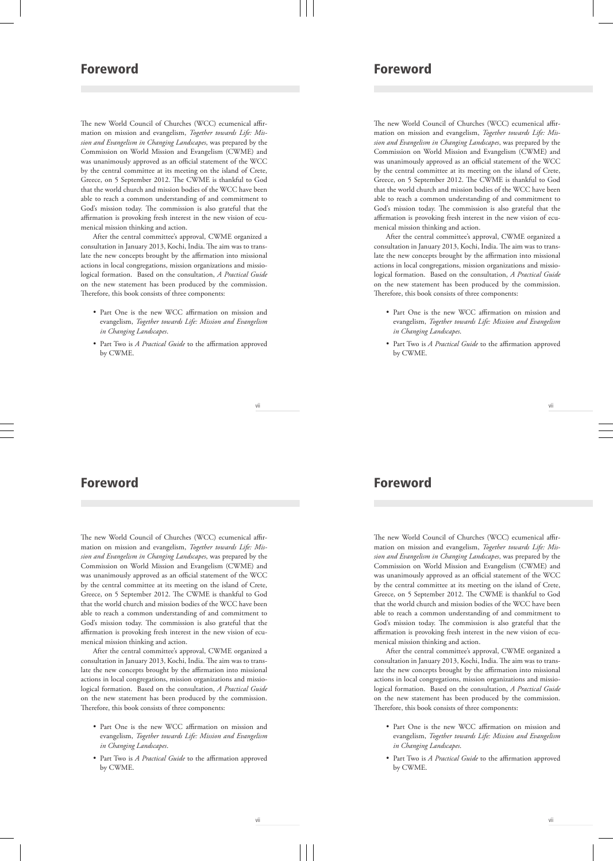## Foreword

The new World Council of Churches (WCC) ecumenical affirmation on mission and evangelism, *Together towards Life: Mission and Evangelism in Changing Landscapes*, was prepared by the Commission on World Mission and Evangelism (CWME) and was unanimously approved as an official statement of the WCC by the central committee at its meeting on the island of Crete, Greece, on 5 September 2012. The CWME is thankful to God that the world church and mission bodies of the WCC have been able to reach a common understanding of and commitment to God's mission today. The commission is also grateful that the affirmation is provoking fresh interest in the new vision of ecumenical mission thinking and action.

After the central committee's approval, CWME organized a consultation in January 2013, Kochi, India. The aim was to translate the new concepts brought by the affirmation into missional actions in local congregations, mission organizations and missiological formation. Based on the consultation, *A Practical Guide* on the new statement has been produced by the commission. Therefore, this book consists of three components:

- Part One is the new WCC affirmation on mission and evangelism, *Together towards Life: Mission and Evangelism in Changing Landscapes*.
- Part Two is *A Practical Guide* to the affirmation approved by CWME.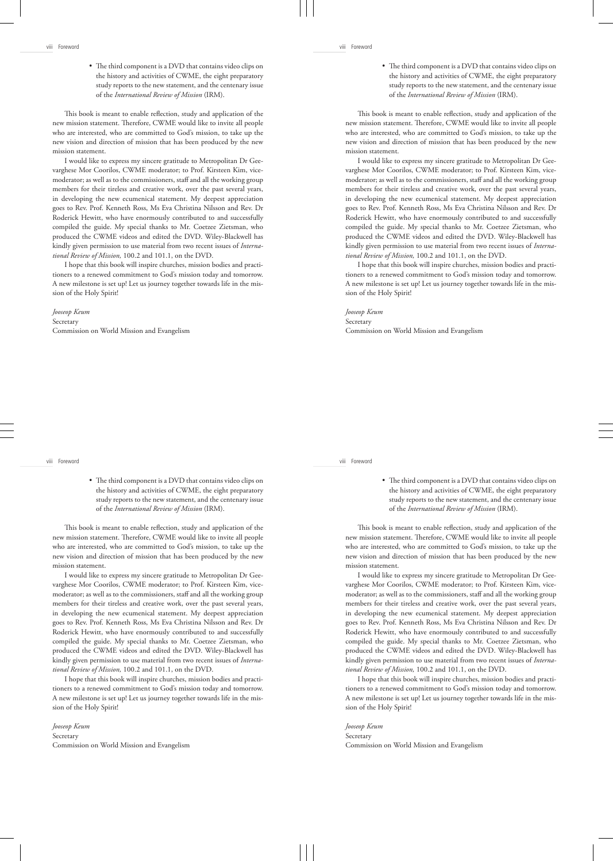• The third component is a DVD that contains video clips on the history and activities of CWME, the eight preparatory study reports to the new statement, and the centenary issue of the *International Review of Mission* (IRM).

This book is meant to enable reflection, study and application of the new mission statement. Therefore, CWME would like to invite all people who are interested, who are committed to God's mission, to take up the new vision and direction of mission that has been produced by the new mission statement.

I would like to express my sincere gratitude to Metropolitan Dr Geevarghese Mor Coorilos, CWME moderator; to Prof. Kirsteen Kim, vicemoderator; as well as to the commissioners, staff and all the working group members for their tireless and creative work, over the past several years, in developing the new ecumenical statement. My deepest appreciation goes to Rev. Prof. Kenneth Ross, Ms Eva Christina Nilsson and Rev. Dr Roderick Hewitt, who have enormously contributed to and successfully compiled the guide. My special thanks to Mr. Coetzee Zietsman, who produced the CWME videos and edited the DVD. Wiley-Blackwell has kindly given permission to use material from two recent issues of *International Review of Mission,* 100.2 and 101.1, on the DVD.

I hope that this book will inspire churches, mission bodies and practitioners to a renewed commitment to God's mission today and tomorrow. A new milestone is set up! Let us journey together towards life in the mission of the Holy Spirit!

*Jooseop Keum* Secretary Commission on World Mission and Evangelism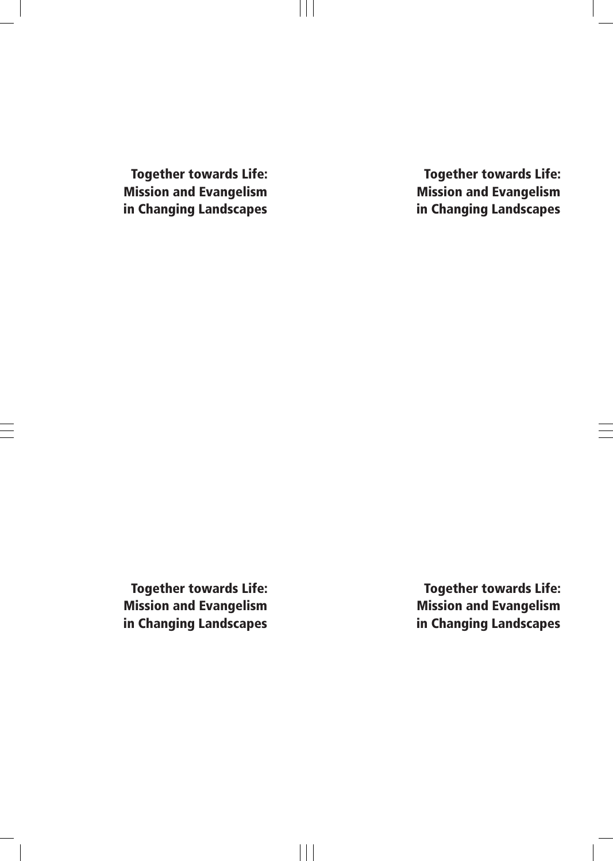# Together towards Life: Mission and Evangelism in Changing Landscapes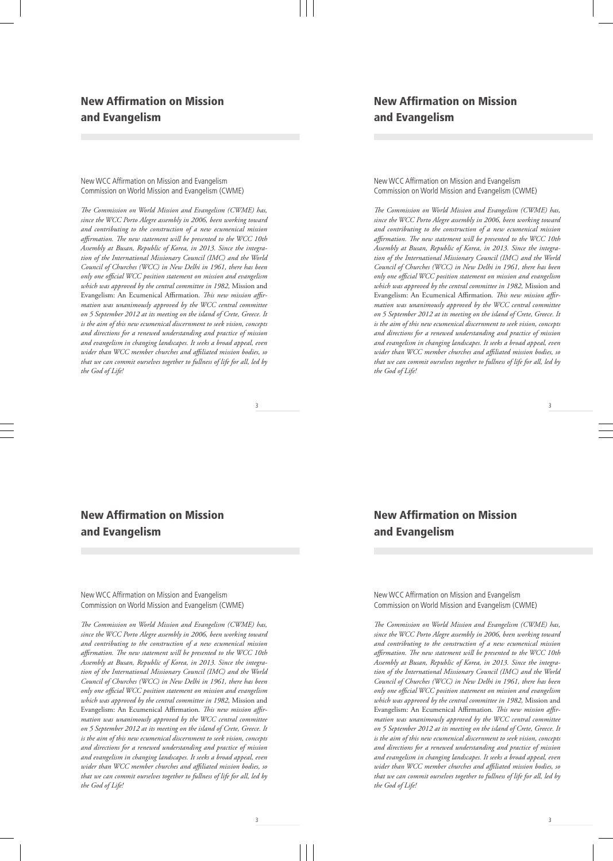## New Affirmation on Mission and Evangelism

New WCC Affirmation on Mission and Evangelism Commission on World Mission and Evangelism (CWME)

*The Commission on World Mission and Evangelism (CWME) has, since the WCC Porto Alegre assembly in 2006, been working toward and contributing to the construction of a new ecumenical mission affirmation. The new statement will be presented to the WCC 10th Assembly at Busan, Republic of Korea, in 2013. Since the integration of the International Missionary Council (IMC) and the World Council of Churches (WCC) in New Delhi in 1961, there has been only one official WCC position statement on mission and evangelism which was approved by the central committee in 1982,* Mission and Evangelism: An Ecumenical Affirmation*. This new mission affirmation was unanimously approved by the WCC central committee on 5 September 2012 at its meeting on the island of Crete, Greece. It is the aim of this new ecumenical discernment to seek vision, concepts and directions for a renewed understanding and practice of mission and evangelism in changing landscapes. It seeks a broad appeal, even wider than WCC member churches and affiliated mission bodies, so that we can commit ourselves together to fullness of life for all, led by the God of Life!*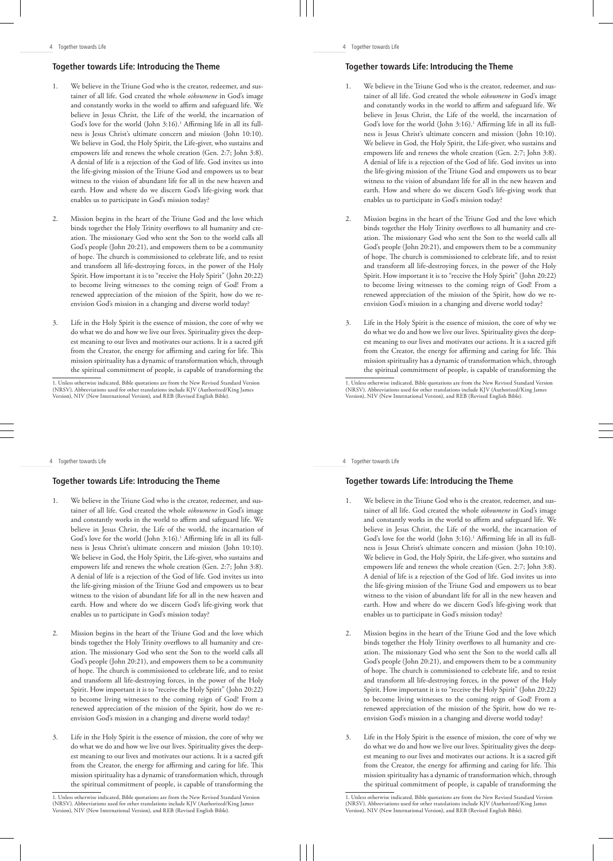## **Together towards Life: Introducing the Theme**

- 1. We believe in the Triune God who is the creator, redeemer, and sustainer of all life. God created the whole *oikoumene* in God's image and constantly works in the world to affirm and safeguard life. We believe in Jesus Christ, the Life of the world, the incarnation of God's love for the world (John  $3:16$ ).<sup>1</sup> Affirming life in all its fullness is Jesus Christ's ultimate concern and mission (John 10:10). We believe in God, the Holy Spirit, the Life-giver, who sustains and empowers life and renews the whole creation (Gen. 2:7; John 3:8). A denial of life is a rejection of the God of life. God invites us into the life-giving mission of the Triune God and empowers us to bear witness to the vision of abundant life for all in the new heaven and earth. How and where do we discern God's life-giving work that enables us to participate in God's mission today?
- 2. Mission begins in the heart of the Triune God and the love which binds together the Holy Trinity overflows to all humanity and creation. The missionary God who sent the Son to the world calls all God's people (John 20:21), and empowers them to be a community of hope. The church is commissioned to celebrate life, and to resist and transform all life-destroying forces, in the power of the Holy Spirit. How important it is to "receive the Holy Spirit" (John 20:22) to become living witnesses to the coming reign of God! From a renewed appreciation of the mission of the Spirit, how do we reenvision God's mission in a changing and diverse world today?
- 3. Life in the Holy Spirit is the essence of mission, the core of why we do what we do and how we live our lives. Spirituality gives the deepest meaning to our lives and motivates our actions. It is a sacred gift from the Creator, the energy for affirming and caring for life. This mission spirituality has a dynamic of transformation which, through the spiritual commitment of people, is capable of transforming the

<sup>1.</sup> Unless otherwise indicated, Bible quotations are from the New Revised Standard Version (NRSV). Abbreviations used for other translations include KJV (Authorized/King James Version), NIV (New International Version), and REB (Revised English Bible).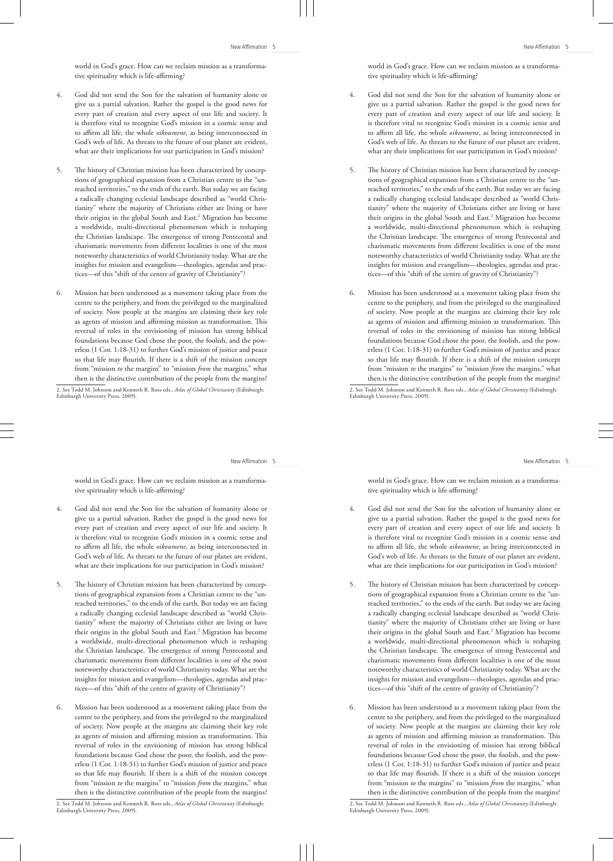world in God's grace. How can we reclaim mission as a transformative spirituality which is life-affirming?

- 4. God did not send the Son for the salvation of humanity alone or give us a partial salvation. Rather the gospel is the good news for every part of creation and every aspect of our life and society. It is therefore vital to recognize God's mission in a cosmic sense and to affirm all life, the whole *oikoumene*, as being interconnected in God's web of life. As threats to the future of our planet are evident, what are their implications for our participation in God's mission?
- 5. The history of Christian mission has been characterized by conceptions of geographical expansion from a Christian centre to the "unreached territories," to the ends of the earth. But today we are facing a radically changing ecclesial landscape described as "world Christianity" where the majority of Christians either are living or have their origins in the global South and East.2 Migration has become a worldwide, multi-directional phenomenon which is reshaping the Christian landscape. The emergence of strong Pentecostal and charismatic movements from different localities is one of the most noteworthy characteristics of world Christianity today. What are the insights for mission and evangelism—theologies, agendas and practices—of this "shift of the centre of gravity of Christianity"?
- 6. Mission has been understood as a movement taking place from the centre to the periphery, and from the privileged to the marginalized of society. Now people at the margins are claiming their key role as agents of mission and affirming mission as transformation. This reversal of roles in the envisioning of mission has strong biblical foundations because God chose the poor, the foolish, and the powerless (1 Cor. 1:18-31) to further God's mission of justice and peace so that life may flourish. If there is a shift of the mission concept from "mission *to* the margins" to "mission *from* the margins," what then is the distinctive contribution of the people from the margins?

<sup>2.</sup> See Todd M. Johnson and Kenneth R. Ross eds., *Atlas of Global Christianity* (Edinburgh: Edinburgh University Press, 2009).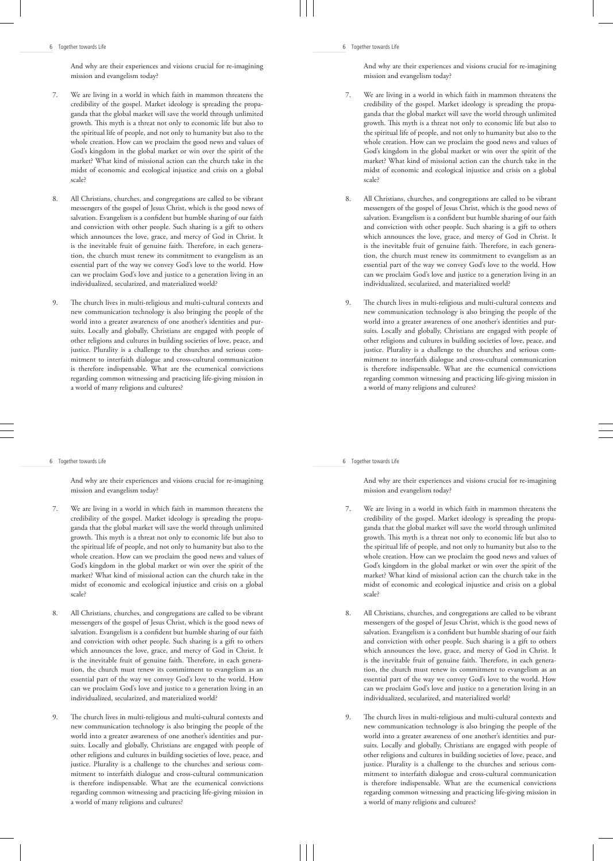#### 6 Together towards Life

And why are their experiences and visions crucial for re-imagining mission and evangelism today?

- 7. We are living in a world in which faith in mammon threatens the credibility of the gospel. Market ideology is spreading the propaganda that the global market will save the world through unlimited growth. This myth is a threat not only to economic life but also to the spiritual life of people, and not only to humanity but also to the whole creation. How can we proclaim the good news and values of God's kingdom in the global market or win over the spirit of the market? What kind of missional action can the church take in the midst of economic and ecological injustice and crisis on a global scale?
- 8. All Christians, churches, and congregations are called to be vibrant messengers of the gospel of Jesus Christ, which is the good news of salvation. Evangelism is a confident but humble sharing of our faith and conviction with other people. Such sharing is a gift to others which announces the love, grace, and mercy of God in Christ. It is the inevitable fruit of genuine faith. Therefore, in each generation, the church must renew its commitment to evangelism as an essential part of the way we convey God's love to the world. How can we proclaim God's love and justice to a generation living in an individualized, secularized, and materialized world?
- 9. The church lives in multi-religious and multi-cultural contexts and new communication technology is also bringing the people of the world into a greater awareness of one another's identities and pursuits. Locally and globally, Christians are engaged with people of other religions and cultures in building societies of love, peace, and justice. Plurality is a challenge to the churches and serious commitment to interfaith dialogue and cross-cultural communication is therefore indispensable. What are the ecumenical convictions regarding common witnessing and practicing life-giving mission in a world of many religions and cultures?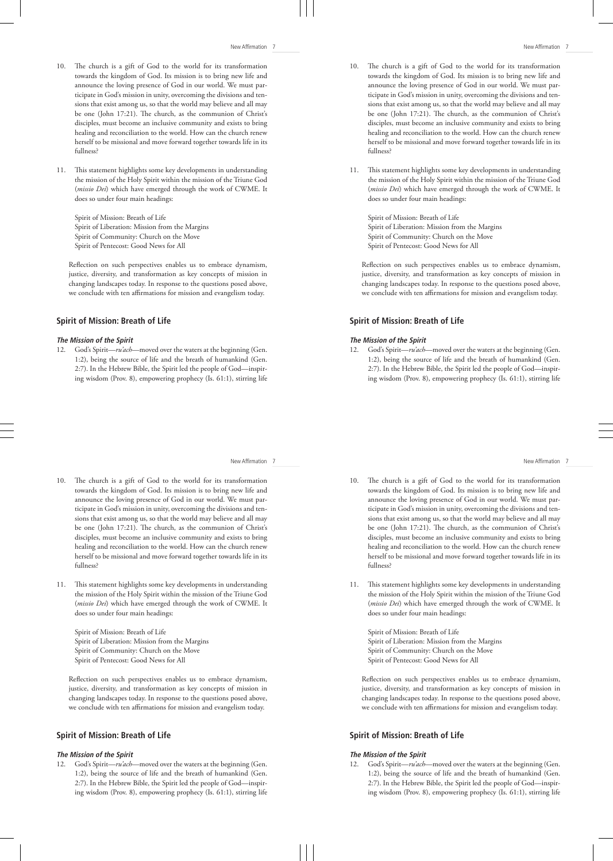- 10. The church is a gift of God to the world for its transformation towards the kingdom of God. Its mission is to bring new life and announce the loving presence of God in our world. We must participate in God's mission in unity, overcoming the divisions and tensions that exist among us, so that the world may believe and all may be one (John 17:21). The church, as the communion of Christ's disciples, must become an inclusive community and exists to bring healing and reconciliation to the world. How can the church renew herself to be missional and move forward together towards life in its fullness?
- 11. This statement highlights some key developments in understanding the mission of the Holy Spirit within the mission of the Triune God (*missio Dei*) which have emerged through the work of CWME. It does so under four main headings:

Spirit of Mission: Breath of Life Spirit of Liberation: Mission from the Margins Spirit of Community: Church on the Move Spirit of Pentecost: Good News for All

Reflection on such perspectives enables us to embrace dynamism, justice, diversity, and transformation as key concepts of mission in changing landscapes today. In response to the questions posed above, we conclude with ten affirmations for mission and evangelism today.

## **Spirit of Mission: Breath of Life**

#### **The Mission of the Spirit**

12. God's Spirit—*ru'ach*—moved over the waters at the beginning (Gen. 1:2), being the source of life and the breath of humankind (Gen. 2:7). In the Hebrew Bible, the Spirit led the people of God—inspiring wisdom (Prov. 8), empowering prophecy (Is. 61:1), stirring life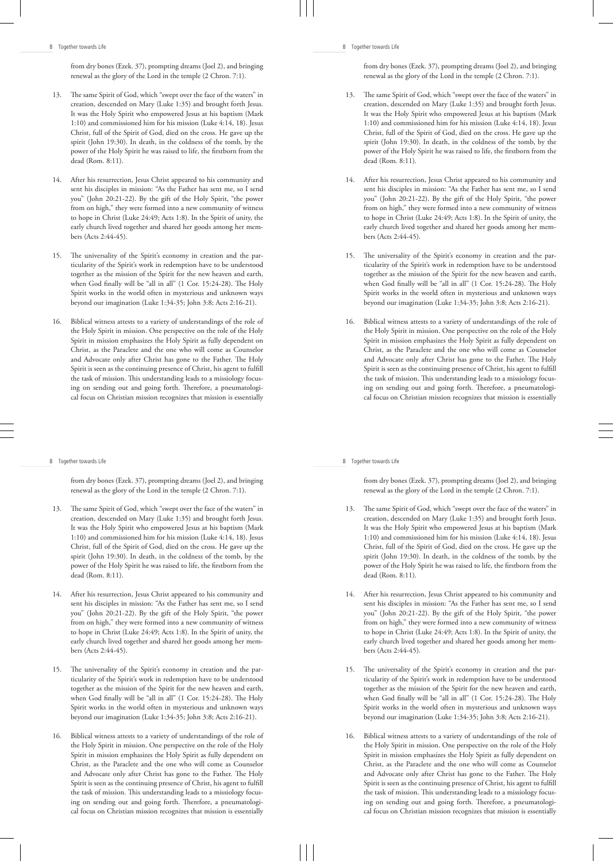#### 8 Together towards Life

from dry bones (Ezek. 37), prompting dreams (Joel 2), and bringing renewal as the glory of the Lord in the temple (2 Chron. 7:1).

- 13. The same Spirit of God, which "swept over the face of the waters" in creation, descended on Mary (Luke 1:35) and brought forth Jesus. It was the Holy Spirit who empowered Jesus at his baptism (Mark 1:10) and commissioned him for his mission (Luke 4:14, 18). Jesus Christ, full of the Spirit of God, died on the cross. He gave up the spirit (John 19:30). In death, in the coldness of the tomb, by the power of the Holy Spirit he was raised to life, the firstborn from the dead (Rom. 8:11).
- 14. After his resurrection, Jesus Christ appeared to his community and sent his disciples in mission: "As the Father has sent me, so I send you" (John 20:21-22). By the gift of the Holy Spirit, "the power from on high," they were formed into a new community of witness to hope in Christ (Luke 24:49; Acts 1:8). In the Spirit of unity, the early church lived together and shared her goods among her members (Acts 2:44-45).
- 15. The universality of the Spirit's economy in creation and the particularity of the Spirit's work in redemption have to be understood together as the mission of the Spirit for the new heaven and earth, when God finally will be "all in all" (1 Cor. 15:24-28). The Holy Spirit works in the world often in mysterious and unknown ways beyond our imagination (Luke 1:34-35; John 3:8; Acts 2:16-21).
- 16. Biblical witness attests to a variety of understandings of the role of the Holy Spirit in mission. One perspective on the role of the Holy Spirit in mission emphasizes the Holy Spirit as fully dependent on Christ, as the Paraclete and the one who will come as Counselor and Advocate only after Christ has gone to the Father. The Holy Spirit is seen as the continuing presence of Christ, his agent to fulfill the task of mission. This understanding leads to a missiology focusing on sending out and going forth. Therefore, a pneumatological focus on Christian mission recognizes that mission is essentially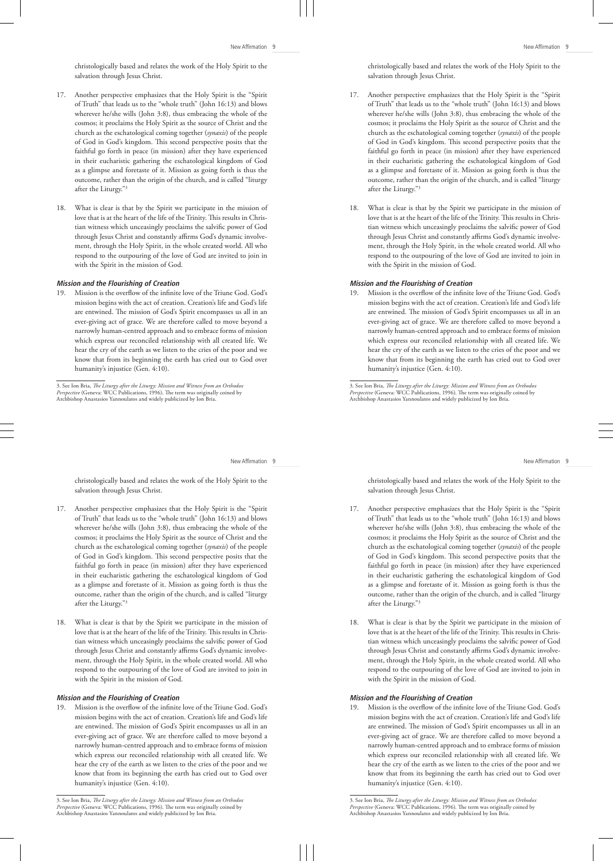christologically based and relates the work of the Holy Spirit to the salvation through Jesus Christ.

- 17. Another perspective emphasizes that the Holy Spirit is the "Spirit of Truth" that leads us to the "whole truth" (John 16:13) and blows wherever he/she wills (John 3:8), thus embracing the whole of the cosmos; it proclaims the Holy Spirit as the source of Christ and the church as the eschatological coming together (*synaxis*) of the people of God in God's kingdom. This second perspective posits that the faithful go forth in peace (in mission) after they have experienced in their eucharistic gathering the eschatological kingdom of God as a glimpse and foretaste of it. Mission as going forth is thus the outcome, rather than the origin of the church, and is called "liturgy after the Liturgy."3
- 18. What is clear is that by the Spirit we participate in the mission of love that is at the heart of the life of the Trinity. This results in Christian witness which unceasingly proclaims the salvific power of God through Jesus Christ and constantly affirms God's dynamic involvement, through the Holy Spirit, in the whole created world. All who respond to the outpouring of the love of God are invited to join in with the Spirit in the mission of God.

#### **Mission and the Flourishing of Creation**

19. Mission is the overflow of the infinite love of the Triune God. God's mission begins with the act of creation. Creation's life and God's life are entwined. The mission of God's Spirit encompasses us all in an ever-giving act of grace. We are therefore called to move beyond a narrowly human-centred approach and to embrace forms of mission which express our reconciled relationship with all created life. We hear the cry of the earth as we listen to the cries of the poor and we know that from its beginning the earth has cried out to God over humanity's injustice (Gen. 4:10).

<sup>3.</sup> See Ion Bria, *The Liturgy after the Liturgy: Mission and Witness from an Orthodox Perspective* (Geneva: WCC Publications, 1996). The term was originally coined by Archbishop Anastasios Yannoulatos and widely publicized by Ion Bria.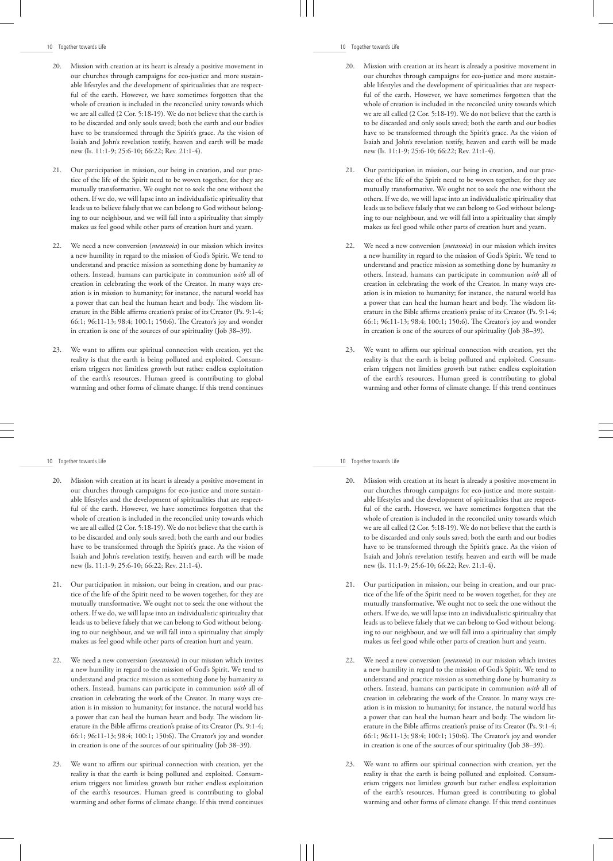- 20. Mission with creation at its heart is already a positive movement in our churches through campaigns for eco-justice and more sustainable lifestyles and the development of spiritualities that are respectful of the earth. However, we have sometimes forgotten that the whole of creation is included in the reconciled unity towards which we are all called (2 Cor. 5:18-19). We do not believe that the earth is to be discarded and only souls saved; both the earth and our bodies have to be transformed through the Spirit's grace. As the vision of Isaiah and John's revelation testify, heaven and earth will be made new (Is. 11:1-9; 25:6-10; 66:22; Rev. 21:1-4).
- 21. Our participation in mission, our being in creation, and our practice of the life of the Spirit need to be woven together, for they are mutually transformative. We ought not to seek the one without the others. If we do, we will lapse into an individualistic spirituality that leads us to believe falsely that we can belong to God without belonging to our neighbour, and we will fall into a spirituality that simply makes us feel good while other parts of creation hurt and yearn.
- 22. We need a new conversion (*metanoia*) in our mission which invites a new humility in regard to the mission of God's Spirit. We tend to understand and practice mission as something done by humanity *to* others. Instead, humans can participate in communion *with* all of creation in celebrating the work of the Creator. In many ways creation is in mission to humanity; for instance, the natural world has a power that can heal the human heart and body. The wisdom literature in the Bible affirms creation's praise of its Creator (Ps. 9:1-4; 66:1; 96:11-13; 98:4; 100:1; 150:6). The Creator's joy and wonder in creation is one of the sources of our spirituality (Job 38–39).
- 23. We want to affirm our spiritual connection with creation, yet the reality is that the earth is being polluted and exploited. Consumerism triggers not limitless growth but rather endless exploitation of the earth's resources. Human greed is contributing to global warming and other forms of climate change. If this trend continues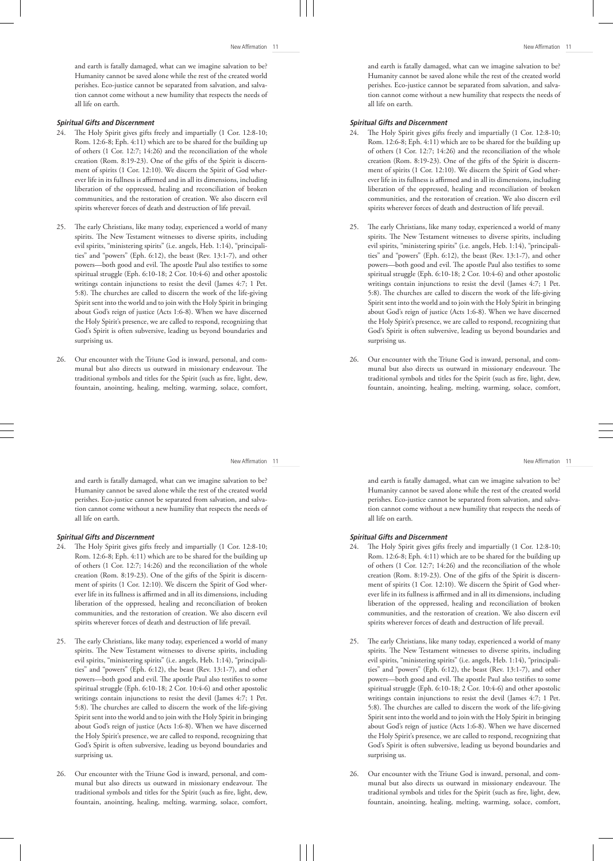and earth is fatally damaged, what can we imagine salvation to be? Humanity cannot be saved alone while the rest of the created world perishes. Eco-justice cannot be separated from salvation, and salvation cannot come without a new humility that respects the needs of all life on earth.

#### **Spiritual Gifts and Discernment**

- 24. The Holy Spirit gives gifts freely and impartially (1 Cor. 12:8-10; Rom. 12:6-8; Eph. 4:11) which are to be shared for the building up of others (1 Cor. 12:7; 14:26) and the reconciliation of the whole creation (Rom. 8:19-23). One of the gifts of the Spirit is discernment of spirits (1 Cor. 12:10). We discern the Spirit of God wherever life in its fullness is affirmed and in all its dimensions, including liberation of the oppressed, healing and reconciliation of broken communities, and the restoration of creation. We also discern evil spirits wherever forces of death and destruction of life prevail.
- 25. The early Christians, like many today, experienced a world of many spirits. The New Testament witnesses to diverse spirits, including evil spirits, "ministering spirits" (i.e. angels, Heb. 1:14), "principalities" and "powers" (Eph. 6:12), the beast (Rev. 13:1-7), and other powers—both good and evil. The apostle Paul also testifies to some spiritual struggle (Eph. 6:10-18; 2 Cor. 10:4-6) and other apostolic writings contain injunctions to resist the devil (James 4:7; 1 Pet. 5:8). The churches are called to discern the work of the life-giving Spirit sent into the world and to join with the Holy Spirit in bringing about God's reign of justice (Acts 1:6-8). When we have discerned the Holy Spirit's presence, we are called to respond, recognizing that God's Spirit is often subversive, leading us beyond boundaries and surprising us.
- 26. Our encounter with the Triune God is inward, personal, and communal but also directs us outward in missionary endeavour. The traditional symbols and titles for the Spirit (such as fire, light, dew, fountain, anointing, healing, melting, warming, solace, comfort,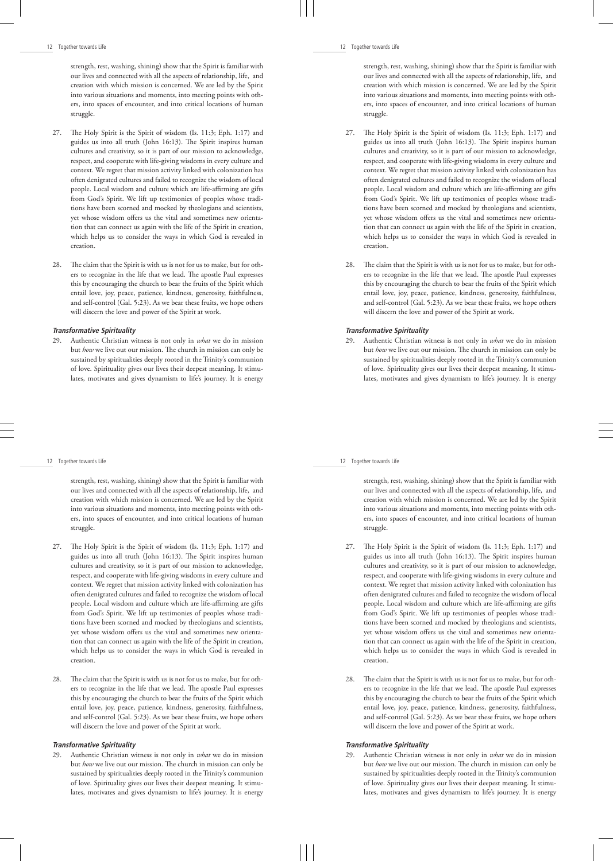strength, rest, washing, shining) show that the Spirit is familiar with our lives and connected with all the aspects of relationship, life, and creation with which mission is concerned. We are led by the Spirit into various situations and moments, into meeting points with others, into spaces of encounter, and into critical locations of human struggle.

- 27. The Holy Spirit is the Spirit of wisdom (Is. 11:3; Eph. 1:17) and guides us into all truth (John 16:13). The Spirit inspires human cultures and creativity, so it is part of our mission to acknowledge, respect, and cooperate with life-giving wisdoms in every culture and context. We regret that mission activity linked with colonization has often denigrated cultures and failed to recognize the wisdom of local people. Local wisdom and culture which are life-affirming are gifts from God's Spirit. We lift up testimonies of peoples whose traditions have been scorned and mocked by theologians and scientists, yet whose wisdom offers us the vital and sometimes new orientation that can connect us again with the life of the Spirit in creation, which helps us to consider the ways in which God is revealed in creation.
- 28. The claim that the Spirit is with us is not for us to make, but for others to recognize in the life that we lead. The apostle Paul expresses this by encouraging the church to bear the fruits of the Spirit which entail love, joy, peace, patience, kindness, generosity, faithfulness, and self-control (Gal. 5:23). As we bear these fruits, we hope others will discern the love and power of the Spirit at work.

### **Transformative Spirituality**

29. Authentic Christian witness is not only in *what* we do in mission but *how* we live out our mission. The church in mission can only be sustained by spiritualities deeply rooted in the Trinity's communion of love. Spirituality gives our lives their deepest meaning. It stimulates, motivates and gives dynamism to life's journey. It is energy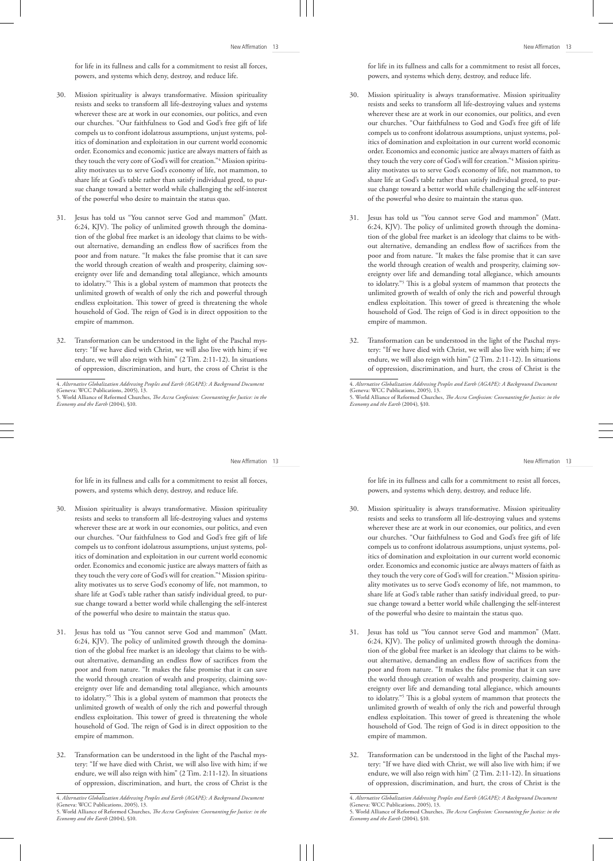for life in its fullness and calls for a commitment to resist all forces, powers, and systems which deny, destroy, and reduce life.

- 30. Mission spirituality is always transformative. Mission spirituality resists and seeks to transform all life-destroying values and systems wherever these are at work in our economies, our politics, and even our churches. "Our faithfulness to God and God's free gift of life compels us to confront idolatrous assumptions, unjust systems, politics of domination and exploitation in our current world economic order. Economics and economic justice are always matters of faith as they touch the very core of God's will for creation."4 Mission spirituality motivates us to serve God's economy of life, not mammon, to share life at God's table rather than satisfy individual greed, to pursue change toward a better world while challenging the self-interest of the powerful who desire to maintain the status quo.
- 31. Jesus has told us "You cannot serve God and mammon" (Matt. 6:24, KJV). The policy of unlimited growth through the domination of the global free market is an ideology that claims to be without alternative, demanding an endless flow of sacrifices from the poor and from nature. "It makes the false promise that it can save the world through creation of wealth and prosperity, claiming sovereignty over life and demanding total allegiance, which amounts to idolatry."5 This is a global system of mammon that protects the unlimited growth of wealth of only the rich and powerful through endless exploitation. This tower of greed is threatening the whole household of God. The reign of God is in direct opposition to the empire of mammon.
- 32. Transformation can be understood in the light of the Paschal mystery: "If we have died with Christ, we will also live with him; if we endure, we will also reign with him" (2 Tim. 2:11-12). In situations of oppression, discrimination, and hurt, the cross of Christ is the

<sup>4.</sup> *Alternative Globalization Addressing Peoples and Earth (AGAPE): A Background Document*  (Geneva: WCC Publications, 2005), 13.

<sup>5.</sup> World Alliance of Reformed Churches, *The Accra Confession: Covenanting for Justice: in the Economy and the Earth* (2004), §10.